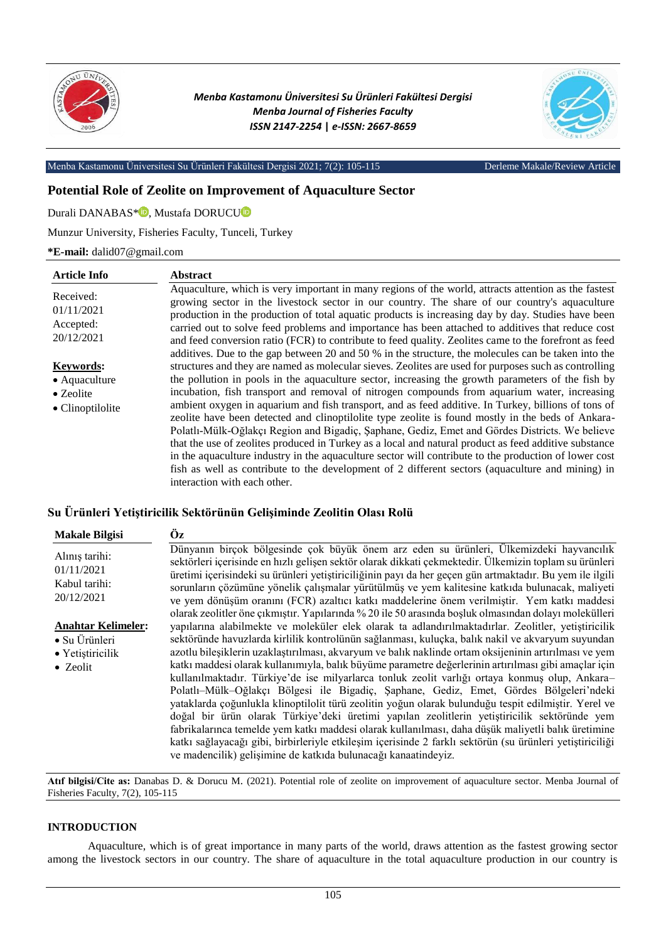

*Menba Kastamonu Üniversitesi Su Ürünleri Fakültesi Dergisi Menba Journal of Fisheries Faculty ISSN 2147-2254* **|** *e-ISSN: 2667-8659*



Menba Kastamonu Üniversitesi Su Ürünleri Fakültesi Dergisi 2021; 7(2): 105-115 Derleme Makale/Review Article

# **Potential Role of Zeolite on Improvement of Aquaculture Sector**

Durali DANABAS<sup>[\\*](https://orcid.org/0000-0002-8947-3749)</sup><sup>0</sup>, Mustafa DOR[U](https://orcid.org/0000-0002-1330-4965)CU<sup>0</sup>

## Munzur University, Fisheries Faculty, Tunceli, Turkey

**\*E-mail:** dalid07@gmail.com

| <b>Article Info</b>                                                        | <b>Abstract</b>                                                                                                                                                                                                                                                                                                                                                                                                                                                                                                                                                                                                                                                                                                                                                                                                                                                                                                                                                                |
|----------------------------------------------------------------------------|--------------------------------------------------------------------------------------------------------------------------------------------------------------------------------------------------------------------------------------------------------------------------------------------------------------------------------------------------------------------------------------------------------------------------------------------------------------------------------------------------------------------------------------------------------------------------------------------------------------------------------------------------------------------------------------------------------------------------------------------------------------------------------------------------------------------------------------------------------------------------------------------------------------------------------------------------------------------------------|
| Received:<br>01/11/2021<br>Accepted:<br>20/12/2021                         | Aquaculture, which is very important in many regions of the world, attracts attention as the fastest<br>growing sector in the livestock sector in our country. The share of our country's aquaculture<br>production in the production of total aquatic products is increasing day by day. Studies have been<br>carried out to solve feed problems and importance has been attached to additives that reduce cost<br>and feed conversion ratio (FCR) to contribute to feed quality. Zeolites came to the forefront as feed<br>additives. Due to the gap between 20 and 50 % in the structure, the molecules can be taken into the                                                                                                                                                                                                                                                                                                                                               |
| <b>Keywords:</b><br>• Aquaculture<br>$\bullet$ Zeolite<br>• Clinoptilolite | structures and they are named as molecular sieves. Zeolites are used for purposes such as controlling<br>the pollution in pools in the aquaculture sector, increasing the growth parameters of the fish by<br>incubation, fish transport and removal of nitrogen compounds from aquarium water, increasing<br>ambient oxygen in aquarium and fish transport, and as feed additive. In Turkey, billions of tons of<br>zeolite have been detected and clinoptilolite type zeolite is found mostly in the beds of Ankara-<br>Polatlı-Mülk-Oğlakçı Region and Bigadiç, Şaphane, Gediz, Emet and Gördes Districts. We believe<br>that the use of zeolites produced in Turkey as a local and natural product as feed additive substance<br>in the aquaculture industry in the aquaculture sector will contribute to the production of lower cost<br>fish as well as contribute to the development of 2 different sectors (aquaculture and mining) in<br>interaction with each other. |

# **Su Ürünleri Yetiştiricilik Sektörünün Gelişiminde Zeolitin Olası Rolü**

| <b>Makale Bilgisi</b>                                                              | Öz                                                                                                                                                                                                                                                                                                                                                                                                                                                                                                                                                                                                                                                                                                                           |
|------------------------------------------------------------------------------------|------------------------------------------------------------------------------------------------------------------------------------------------------------------------------------------------------------------------------------------------------------------------------------------------------------------------------------------------------------------------------------------------------------------------------------------------------------------------------------------------------------------------------------------------------------------------------------------------------------------------------------------------------------------------------------------------------------------------------|
| Alınış tarihi:<br>01/11/2021<br>Kabul tarihi:<br>20/12/2021                        | Dünyanın birçok bölgesinde çok büyük önem arz eden su ürünleri, Ülkemizdeki hayvancılık<br>sektörleri içerisinde en hızlı gelişen sektör olarak dikkati çekmektedir. Ülkemizin toplam su ürünleri<br>üretimi içerisindeki su ürünleri yetiştiriciliğinin payı da her geçen gün artmaktadır. Bu yem ile ilgili<br>sorunların çözümüne yönelik çalışmalar yürütülmüş ve yem kalitesine katkıda bulunacak, maliyeti<br>ve yem dönüşüm oranını (FCR) azaltıcı katkı maddelerine önem verilmiştir. Yem katkı maddesi<br>olarak zeolitler öne çıkmıştır. Yapılarında % 20 ile 50 arasında boşluk olmasından dolayı molekülleri                                                                                                     |
| <b>Anahtar Kelimeler:</b><br>• Su Ürünleri<br>• Yetiştiricilik<br>$\bullet$ Zeolit | yapılarına alabilmekte ve moleküler elek olarak ta adlandırılmaktadırlar. Zeolitler, yetiştiricilik<br>sektöründe havuzlarda kirlilik kontrolünün sağlanması, kuluçka, balık nakil ve akvaryum suyundan<br>azotlu bileşiklerin uzaklaştırılması, akvaryum ve balık naklinde ortam oksijeninin artırılması ve yem<br>katkı maddesi olarak kullanımıyla, balık büyüme parametre değerlerinin artırılması gibi amaçlar için<br>kullanılmaktadır. Türkiye'de ise milyarlarca tonluk zeolit varlığı ortaya konmuş olup, Ankara-<br>Polatlı-Mülk-Oğlakçı Bölgesi ile Bigadiç, Şaphane, Gediz, Emet, Gördes Bölgeleri'ndeki<br>yataklarda çoğunlukla klinoptilolit türü zeolitin yoğun olarak bulunduğu tespit edilmiştir. Yerel ve |
|                                                                                    | doğal bir ürün olarak Türkiye'deki üretimi yapılan zeolitlerin yetiştiricilik sektöründe yem<br>fabrikalarınca temelde yem katkı maddesi olarak kullanılması, daha düşük maliyetli balık üretimine<br>katkı sağlayacağı gibi, birbirleriyle etkileşim içerisinde 2 farklı sektörün (su ürünleri yetiştiriciliği<br>ve madencilik) gelişimine de katkıda bulunacağı kanaatindeyiz.                                                                                                                                                                                                                                                                                                                                            |

**Atıf bilgisi/Cite as:** Danabas D. & Dorucu M. (2021). Potential role of zeolite on improvement of aquaculture sector. Menba Journal of Fisheries Faculty, 7(2), 105-115

# **INTRODUCTION**

Aquaculture, which is of great importance in many parts of the world, draws attention as the fastest growing sector among the livestock sectors in our country. The share of aquaculture in the total aquaculture production in our country is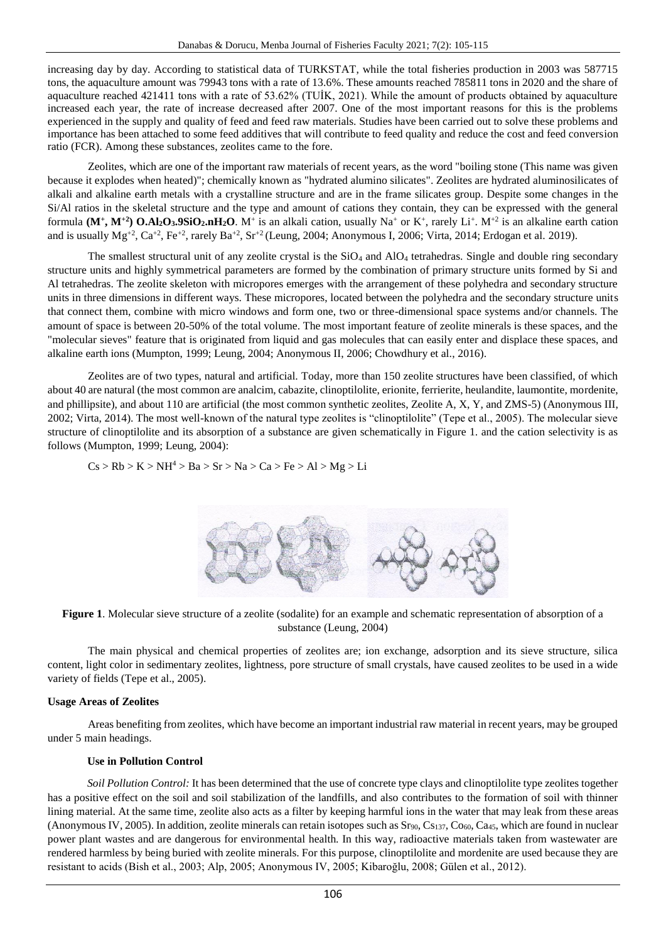increasing day by day. According to statistical data of TURKSTAT, while the total fisheries production in 2003 was 587715 tons, the aquaculture amount was 79943 tons with a rate of 13.6%. These amounts reached 785811 tons in 2020 and the share of aquaculture reached 421411 tons with a rate of 53.62% (TUİK, 2021). While the amount of products obtained by aquaculture increased each year, the rate of increase decreased after 2007. One of the most important reasons for this is the problems experienced in the supply and quality of feed and feed raw materials. Studies have been carried out to solve these problems and importance has been attached to some feed additives that will contribute to feed quality and reduce the cost and feed conversion ratio (FCR). Among these substances, zeolites came to the fore.

Zeolites, which are one of the important raw materials of recent years, as the word "boiling stone (This name was given because it explodes when heated)"; chemically known as "hydrated alumino silicates". Zeolites are hydrated aluminosilicates of alkali and alkaline earth metals with a crystalline structure and are in the frame silicates group. Despite some changes in the Si/Al ratios in the skeletal structure and the type and amount of cations they contain, they can be expressed with the general formula  $(M^+, M^{+2})$   $O.Al_2O_3.9SiO_2.nH_2O$ .  $M^+$  is an alkali cation, usually  $Na^+$  or  $K^+$ , rarely  $Li^+$ .  $M^{+2}$  is an alkaline earth cation and is usually  $Mg^{+2}$ ,  $Ca^{+2}$ ,  $Fe^{+2}$ , rarely  $Ba^{+2}$ ,  $Sr^{+2}$  (Leung, 2004; Anonymous I, 2006; Virta, 2014; Erdogan et al. 2019).

The smallest structural unit of any zeolite crystal is the  $SiO<sub>4</sub>$  and  $AlO<sub>4</sub>$  tetrahedras. Single and double ring secondary structure units and highly symmetrical parameters are formed by the combination of primary structure units formed by Si and Al tetrahedras. The zeolite skeleton with micropores emerges with the arrangement of these polyhedra and secondary structure units in three dimensions in different ways. These micropores, located between the polyhedra and the secondary structure units that connect them, combine with micro windows and form one, two or three-dimensional space systems and/or channels. The amount of space is between 20-50% of the total volume. The most important feature of zeolite minerals is these spaces, and the "molecular sieves" feature that is originated from liquid and gas molecules that can easily enter and displace these spaces, and alkaline earth ions (Mumpton, 1999; Leung, 2004; Anonymous II, 2006; Chowdhury et al., 2016).

Zeolites are of two types, natural and artificial. Today, more than 150 zeolite structures have been classified, of which about 40 are natural (the most common are analcim, cabazite, clinoptilolite, erionite, ferrierite, heulandite, laumontite, mordenite, and phillipsite), and about 110 are artificial (the most common synthetic zeolites, Zeolite A, X, Y, and ZMS-5) (Anonymous III, 2002; Virta, 2014). The most well-known of the natural type zeolites is "clinoptilolite" (Tepe et al., 2005). The molecular sieve structure of clinoptilolite and its absorption of a substance are given schematically in Figure 1. and the cation selectivity is as follows (Mumpton, 1999; Leung, 2004):

$$
Cs > Rb > K > NH^4 > Ba > Sr > Na > Ca > Fe > Al > Mg > Li
$$



**Figure 1**. Molecular sieve structure of a zeolite (sodalite) for an example and schematic representation of absorption of a substance (Leung, 2004)

The main physical and chemical properties of zeolites are; ion exchange, adsorption and its sieve structure, silica content, light color in sedimentary zeolites, lightness, pore structure of small crystals, have caused zeolites to be used in a wide variety of fields (Tepe et al., 2005).

## **Usage Areas of Zeolites**

Areas benefiting from zeolites, which have become an important industrial raw material in recent years, may be grouped under 5 main headings.

## **Use in Pollution Control**

*Soil Pollution Control:* It has been determined that the use of concrete type clays and clinoptilolite type zeolites together has a positive effect on the soil and soil stabilization of the landfills, and also contributes to the formation of soil with thinner lining material. At the same time, zeolite also acts as a filter by keeping harmful ions in the water that may leak from these areas (Anonymous IV, 2005). In addition, zeolite minerals can retain isotopes such as  $Sr_{90}$ ,  $Cs_{137}$ ,  $Co_{60}$ ,  $Ca_{45}$ , which are found in nuclear power plant wastes and are dangerous for environmental health. In this way, radioactive materials taken from wastewater are rendered harmless by being buried with zeolite minerals. For this purpose, clinoptilolite and mordenite are used because they are resistant to acids (Bish et al., 2003; Alp, 2005; Anonymous IV, 2005; Kibaroğlu, 2008; Gülen et al., 2012).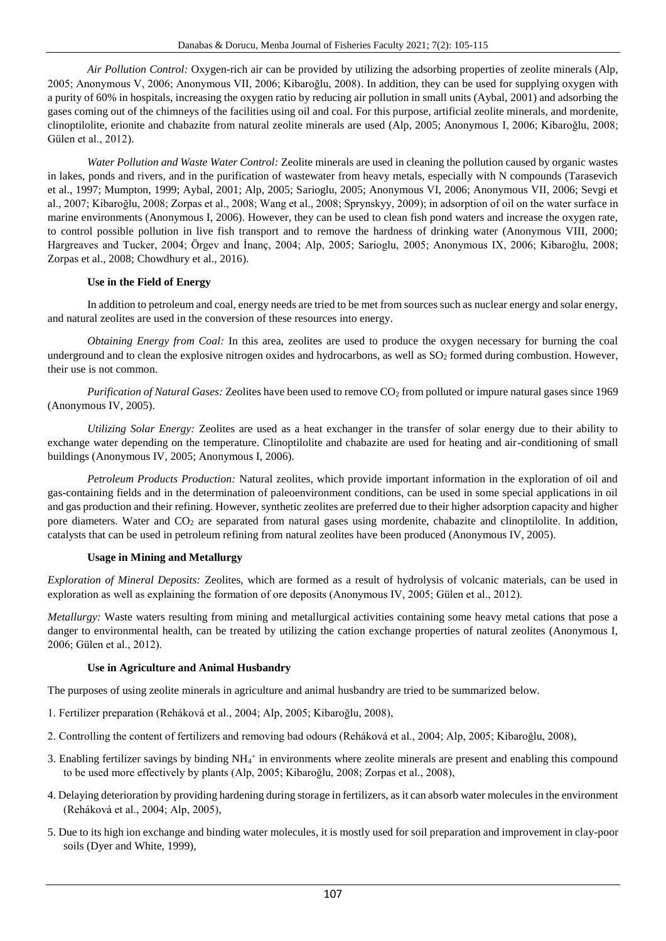*Air Pollution Control:* Oxygen-rich air can be provided by utilizing the adsorbing properties of zeolite minerals (Alp, 2005; Anonymous V, 2006; Anonymous VII, 2006; Kibaroğlu, 2008). In addition, they can be used for supplying oxygen with a purity of 60% in hospitals, increasing the oxygen ratio by reducing air pollution in small units (Aybal, 2001) and adsorbing the gases coming out of the chimneys of the facilities using oil and coal. For this purpose, artificial zeolite minerals, and mordenite, clinoptilolite, erionite and chabazite from natural zeolite minerals are used (Alp, 2005; Anonymous I, 2006; Kibaroğlu, 2008; Gülen et al., 2012).

*Water Pollution and Waste Water Control:* Zeolite minerals are used in cleaning the pollution caused by organic wastes in lakes, ponds and rivers, and in the purification of wastewater from heavy metals, especially with N compounds (Tarasevich et al., 1997; Mumpton, 1999; Aybal, 2001; Alp, 2005; Sarioglu, 2005; Anonymous VI, 2006; Anonymous VII, 2006; Sevgi et al., 2007; Kibaroğlu, 2008; Zorpas et al., 2008; Wang et al., 2008; Sprynskyy, 2009); in adsorption of oil on the water surface in marine environments (Anonymous I, 2006). However, they can be used to clean fish pond waters and increase the oxygen rate, to control possible pollution in live fish transport and to remove the hardness of drinking water (Anonymous VIII, 2000; Hargreaves and Tucker, 2004; Örgev and İnanç, 2004; Alp, 2005; Sarioglu, 2005; Anonymous IX, 2006; Kibaroğlu, 2008; Zorpas et al., 2008; Chowdhury et al., 2016).

# **Use in the Field of Energy**

In addition to petroleum and coal, energy needs are tried to be met from sources such as nuclear energy and solar energy, and natural zeolites are used in the conversion of these resources into energy.

*Obtaining Energy from Coal:* In this area, zeolites are used to produce the oxygen necessary for burning the coal underground and to clean the explosive nitrogen oxides and hydrocarbons, as well as  $SO_2$  formed during combustion. However, their use is not common.

*Purification of Natural Gases:* Zeolites have been used to remove CO<sub>2</sub> from polluted or impure natural gases since 1969 (Anonymous IV, 2005).

*Utilizing Solar Energy:* Zeolites are used as a heat exchanger in the transfer of solar energy due to their ability to exchange water depending on the temperature. Clinoptilolite and chabazite are used for heating and air-conditioning of small buildings (Anonymous IV, 2005; Anonymous I, 2006).

*Petroleum Products Production:* Natural zeolites, which provide important information in the exploration of oil and gas-containing fields and in the determination of paleoenvironment conditions, can be used in some special applications in oil and gas production and their refining. However, synthetic zeolites are preferred due to their higher adsorption capacity and higher pore diameters. Water and  $CO<sub>2</sub>$  are separated from natural gases using mordenite, chabazite and clinoptilolite. In addition, catalysts that can be used in petroleum refining from natural zeolites have been produced (Anonymous IV, 2005).

# **Usage in Mining and Metallurgy**

*Exploration of Mineral Deposits:* Zeolites, which are formed as a result of hydrolysis of volcanic materials, can be used in exploration as well as explaining the formation of ore deposits (Anonymous IV, 2005; Gülen et al., 2012).

*Metallurgy:* Waste waters resulting from mining and metallurgical activities containing some heavy metal cations that pose a danger to environmental health, can be treated by utilizing the cation exchange properties of natural zeolites (Anonymous I, 2006; Gülen et al., 2012).

# **Use in Agriculture and Animal Husbandry**

The purposes of using zeolite minerals in agriculture and animal husbandry are tried to be summarized below.

- 1. Fertilizer preparation (Reháková et al., 2004; Alp, 2005; Kibaroğlu, 2008),
- 2. Controlling the content of fertilizers and removing bad odours (Reháková et al., 2004; Alp, 2005; Kibaroğlu, 2008),
- 3. Enabling fertilizer savings by binding NH<sub>4</sub><sup>+</sup> in environments where zeolite minerals are present and enabling this compound to be used more effectively by plants (Alp, 2005; Kibaroğlu, 2008; Zorpas et al., 2008),
- 4. Delaying deterioration by providing hardening during storage in fertilizers, as it can absorb water molecules in the environment (Reháková et al., 2004; Alp, 2005),
- 5. Due to its high ion exchange and binding water molecules, it is mostly used for soil preparation and improvement in clay-poor soils (Dyer and White, 1999),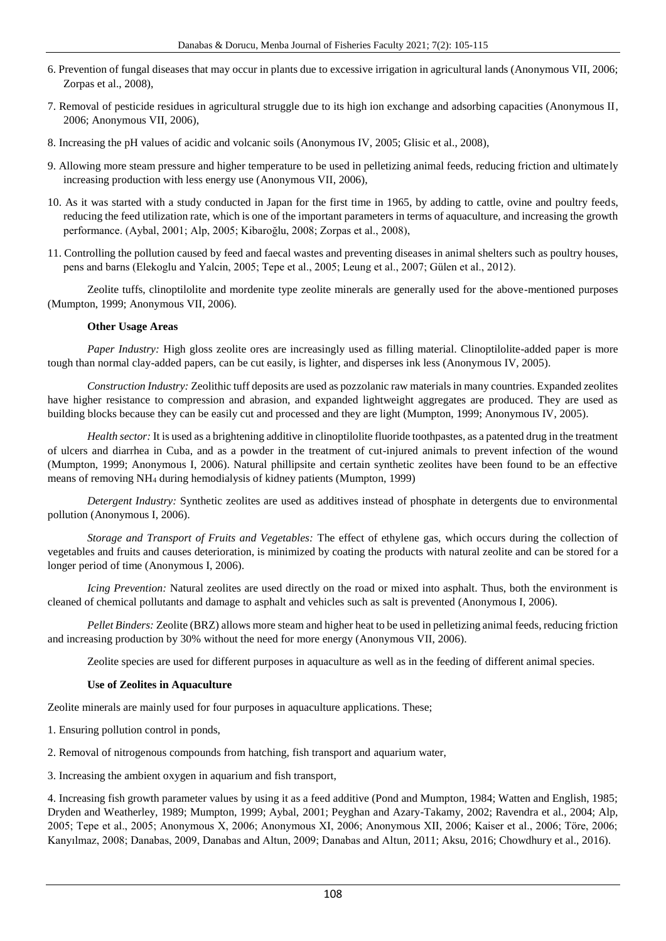- 6. Prevention of fungal diseases that may occur in plants due to excessive irrigation in agricultural lands (Anonymous VII, 2006; Zorpas et al., 2008),
- 7. Removal of pesticide residues in agricultural struggle due to its high ion exchange and adsorbing capacities (Anonymous II, 2006; Anonymous VII, 2006),
- 8. Increasing the pH values of acidic and volcanic soils (Anonymous IV, 2005; Glisic et al., 2008),
- 9. Allowing more steam pressure and higher temperature to be used in pelletizing animal feeds, reducing friction and ultimately increasing production with less energy use (Anonymous VII, 2006),
- 10. As it was started with a study conducted in Japan for the first time in 1965, by adding to cattle, ovine and poultry feeds, reducing the feed utilization rate, which is one of the important parameters in terms of aquaculture, and increasing the growth performance. (Aybal, 2001; Alp, 2005; Kibaroğlu, 2008; Zorpas et al., 2008),
- 11. Controlling the pollution caused by feed and faecal wastes and preventing diseases in animal shelters such as poultry houses, pens and barns (Elekoglu and Yalcin, 2005; Tepe et al., 2005; Leung et al., 2007; Gülen et al., 2012).

Zeolite tuffs, clinoptilolite and mordenite type zeolite minerals are generally used for the above-mentioned purposes (Mumpton, 1999; Anonymous VII, 2006).

# **Other Usage Areas**

*Paper Industry:* High gloss zeolite ores are increasingly used as filling material. Clinoptilolite-added paper is more tough than normal clay-added papers, can be cut easily, is lighter, and disperses ink less (Anonymous IV, 2005).

*Construction Industry:* Zeolithic tuff deposits are used as pozzolanic raw materials in many countries. Expanded zeolites have higher resistance to compression and abrasion, and expanded lightweight aggregates are produced. They are used as building blocks because they can be easily cut and processed and they are light (Mumpton, 1999; Anonymous IV, 2005).

*Health sector:* It is used as a brightening additive in clinoptilolite fluoride toothpastes, as a patented drug in the treatment of ulcers and diarrhea in Cuba, and as a powder in the treatment of cut-injured animals to prevent infection of the wound (Mumpton, 1999; Anonymous I, 2006). Natural phillipsite and certain synthetic zeolites have been found to be an effective means of removing NH<sup>4</sup> during hemodialysis of kidney patients (Mumpton, 1999)

*Detergent Industry:* Synthetic zeolites are used as additives instead of phosphate in detergents due to environmental pollution (Anonymous I, 2006).

*Storage and Transport of Fruits and Vegetables:* The effect of ethylene gas, which occurs during the collection of vegetables and fruits and causes deterioration, is minimized by coating the products with natural zeolite and can be stored for a longer period of time (Anonymous I, 2006).

*Icing Prevention:* Natural zeolites are used directly on the road or mixed into asphalt. Thus, both the environment is cleaned of chemical pollutants and damage to asphalt and vehicles such as salt is prevented (Anonymous I, 2006).

*Pellet Binders:* Zeolite (BRZ) allows more steam and higher heat to be used in pelletizing animal feeds, reducing friction and increasing production by 30% without the need for more energy (Anonymous VII, 2006).

Zeolite species are used for different purposes in aquaculture as well as in the feeding of different animal species.

# **Use of Zeolites in Aquaculture**

Zeolite minerals are mainly used for four purposes in aquaculture applications. These;

- 1. Ensuring pollution control in ponds,
- 2. Removal of nitrogenous compounds from hatching, fish transport and aquarium water,
- 3. Increasing the ambient oxygen in aquarium and fish transport,

4. Increasing fish growth parameter values by using it as a feed additive (Pond and Mumpton, 1984; Watten and English, 1985; Dryden and Weatherley, 1989; Mumpton, 1999; Aybal, 2001; Peyghan and Azary-Takamy, 2002; Ravendra et al., 2004; Alp, 2005; Tepe et al., 2005; Anonymous X, 2006; Anonymous XI, 2006; Anonymous XII, 2006; Kaiser et al., 2006; Töre, 2006; Kanyılmaz, 2008; Danabas, 2009, Danabas and Altun, 2009; Danabas and Altun, 2011; Aksu, 2016; Chowdhury et al., 2016).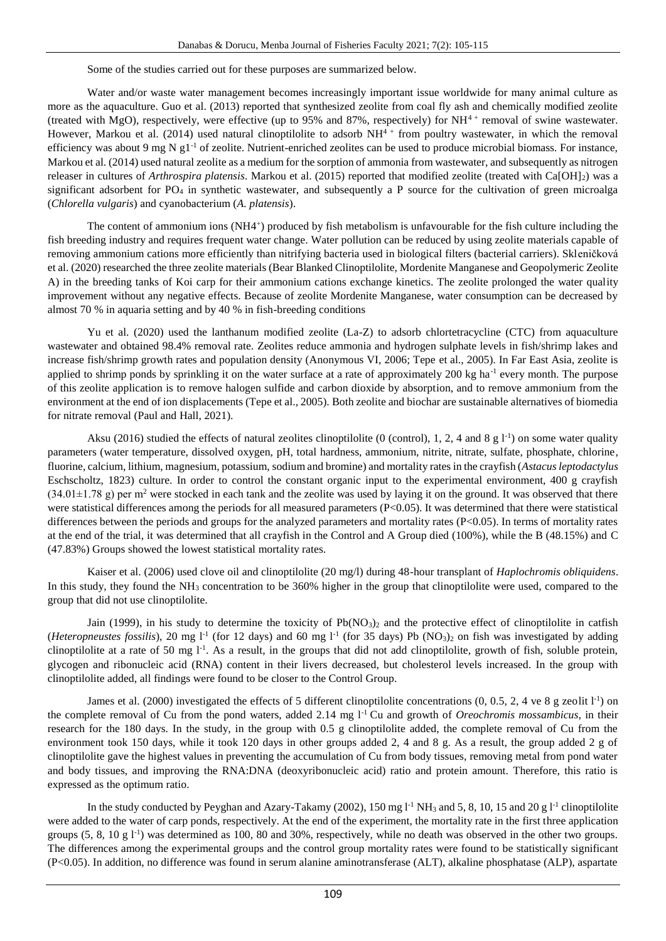Some of the studies carried out for these purposes are summarized below.

Water and/or waste water management becomes increasingly important issue worldwide for many animal culture as more as the aquaculture. Guo et al. (2013) reported that synthesized zeolite from coal fly ash and chemically modified zeolite (treated with MgO), respectively, were effective (up to 95% and 87%, respectively) for  $NH^{4+}$  removal of swine wastewater. However, Markou et al. (2014) used natural clinoptilolite to adsorb  $NH<sup>4+</sup>$  from poultry wastewater, in which the removal efficiency was about 9 mg N g1 $^{-1}$  of zeolite. Nutrient-enriched zeolites can be used to produce microbial biomass. For instance, Markou et al. (2014) used natural zeolite as a medium for the sorption of ammonia from wastewater, and subsequently as nitrogen releaser in cultures of *Arthrospira platensis*. Markou et al. (2015) reported that modified zeolite (treated with Ca[OH]2) was a significant adsorbent for PO<sup>4</sup> in synthetic wastewater, and subsequently a P source for the cultivation of green microalga (*Chlorella vulgaris*) and cyanobacterium (*A. platensis*).

The content of ammonium ions (NH4<sup>+</sup>) produced by fish metabolism is unfavourable for the fish culture including the fish breeding industry and requires frequent water change. Water pollution can be reduced by using zeolite materials capable of removing ammonium cations more efficiently than nitrifying bacteria used in biological filters (bacterial carriers). Skleničková et al. (2020) researched the three zeolite materials (Bear Blanked Clinoptilolite, Mordenite Manganese and Geopolymeric Zeolite A) in the breeding tanks of Koi carp for their ammonium cations exchange kinetics. The zeolite prolonged the water quality improvement without any negative effects. Because of zeolite Mordenite Manganese, water consumption can be decreased by almost 70 % in aquaria setting and by 40 % in fish-breeding conditions

Yu et al. (2020) used the lanthanum modified zeolite (La-Z) to adsorb chlortetracycline (CTC) from aquaculture wastewater and obtained 98.4% removal rate. Zeolites reduce ammonia and hydrogen sulphate levels in fish/shrimp lakes and increase fish/shrimp growth rates and population density (Anonymous VI, 2006; Tepe et al., 2005). In Far East Asia, zeolite is applied to shrimp ponds by sprinkling it on the water surface at a rate of approximately  $200 \text{ kg}$  ha<sup>-1</sup> every month. The purpose of this zeolite application is to remove halogen sulfide and carbon dioxide by absorption, and to remove ammonium from the environment at the end of ion displacements (Tepe et al., 2005). Both zeolite and biochar are sustainable alternatives of biomedia for nitrate removal (Paul and Hall, 2021).

Aksu (2016) studied the effects of natural zeolites clinoptilolite (0 (control), 1, 2, 4 and 8 g  $1^{-1}$ ) on some water quality parameters (water temperature, dissolved oxygen, pH, total hardness, ammonium, nitrite, nitrate, sulfate, phosphate, chlorine, fluorine, calcium, lithium, magnesium, potassium, sodium and bromine) and mortality rates in the crayfish (*Astacus leptodactylus* Eschscholtz, 1823) culture. In order to control the constant organic input to the experimental environment, 400 g crayfish  $(34.01\pm1.78 \text{ g})$  per m<sup>2</sup> were stocked in each tank and the zeolite was used by laying it on the ground. It was observed that there were statistical differences among the periods for all measured parameters (P<0.05). It was determined that there were statistical differences between the periods and groups for the analyzed parameters and mortality rates  $(P<0.05)$ . In terms of mortality rates at the end of the trial, it was determined that all crayfish in the Control and A Group died (100%), while the B (48.15%) and C (47.83%) Groups showed the lowest statistical mortality rates.

Kaiser et al. (2006) used clove oil and clinoptilolite (20 mg/l) during 48-hour transplant of *Haplochromis obliquidens*. In this study, they found the NH<sub>3</sub> concentration to be 360% higher in the group that clinoptilolite were used, compared to the group that did not use clinoptilolite.

Jain (1999), in his study to determine the toxicity of  $Pb(NO<sub>3</sub>)<sub>2</sub>$  and the protective effect of clinoptilolite in catfish (*Heteropneustes fossilis*), 20 mg  $1<sup>-1</sup>$  (for 12 days) and 60 mg  $1<sup>-1</sup>$  (for 35 days) Pb (NO<sub>3</sub>)<sub>2</sub> on fish was investigated by adding clinoptilolite at a rate of 50 mg l-1 . As a result, in the groups that did not add clinoptilolite, growth of fish, soluble protein, glycogen and ribonucleic acid (RNA) content in their livers decreased, but cholesterol levels increased. In the group with clinoptilolite added, all findings were found to be closer to the Control Group.

James et al. (2000) investigated the effects of 5 different clinoptilolite concentrations (0, 0.5, 2, 4 ve 8 g zeolit l<sup>-1</sup>) on the complete removal of Cu from the pond waters, added 2.14 mg l-1 Cu and growth of *Oreochromis mossambicus*, in their research for the 180 days. In the study, in the group with 0.5 g clinoptilolite added, the complete removal of Cu from the environment took 150 days, while it took 120 days in other groups added 2, 4 and 8 g. As a result, the group added 2 g of clinoptilolite gave the highest values in preventing the accumulation of Cu from body tissues, removing metal from pond water and body tissues, and improving the RNA:DNA (deoxyribonucleic acid) ratio and protein amount. Therefore, this ratio is expressed as the optimum ratio.

In the study conducted by Peyghan and Azary-Takamy (2002), 150 mg  $l<sup>-1</sup> NH<sub>3</sub>$  and 5, 8, 10, 15 and 20 g  $l<sup>-1</sup>$  clinoptilolite were added to the water of carp ponds, respectively. At the end of the experiment, the mortality rate in the first three application groups  $(5, 8, 10 \text{ g } 1^{-1})$  was determined as 100, 80 and 30%, respectively, while no death was observed in the other two groups. The differences among the experimental groups and the control group mortality rates were found to be statistically significant (P<0.05). In addition, no difference was found in serum alanine aminotransferase (ALT), alkaline phosphatase (ALP), aspartate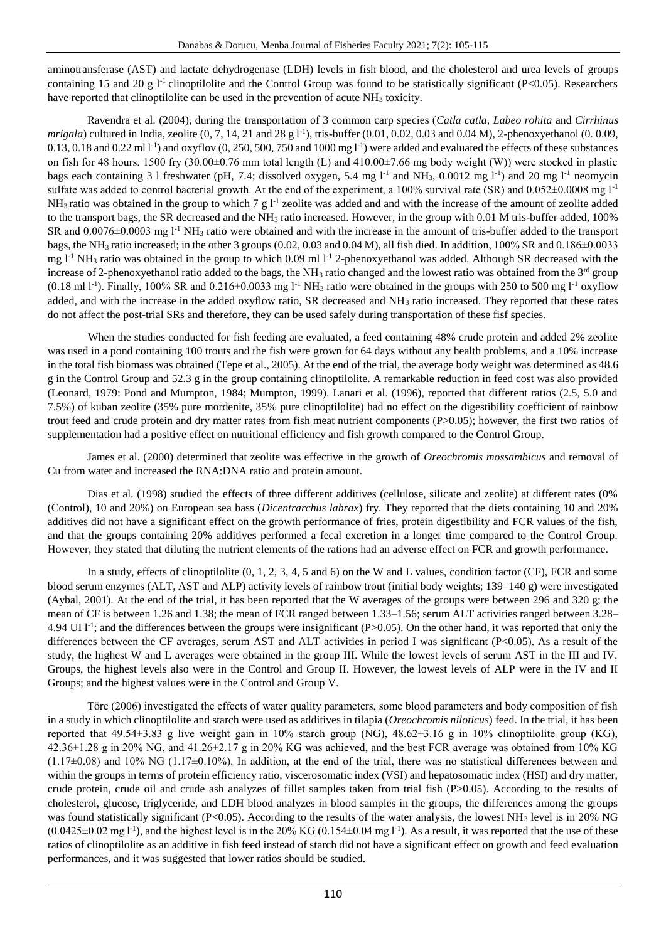aminotransferase (AST) and lactate dehydrogenase (LDH) levels in fish blood, and the cholesterol and urea levels of groups containing 15 and 20 g  $l^{-1}$  clinoptilolite and the Control Group was found to be statistically significant (P<0.05). Researchers have reported that clinoptilolite can be used in the prevention of acute  $NH<sub>3</sub>$  toxicity.

Ravendra et al. (2004), during the transportation of 3 common carp species (*Catla catla, Labeo rohita* and *Cirrhinus mrigala*) cultured in India, zeolite (0, 7, 14, 21 and 28 g l<sup>-1</sup>), tris-buffer (0.01, 0.02, 0.03 and 0.04 M), 2-phenoxyethanol (0. 0.09,  $0.13, 0.18$  and  $0.22$  ml  $1<sup>-1</sup>$  and oxyflov  $(0, 250, 500, 750$  and  $1000$  mg  $1<sup>-1</sup>$ ) were added and evaluated the effects of these substances on fish for 48 hours. 1500 fry  $(30.00\pm0.76$  mm total length (L) and  $410.00\pm7.66$  mg body weight (W)) were stocked in plastic bags each containing 3 l freshwater (pH, 7.4; dissolved oxygen, 5.4 mg  $1<sup>-1</sup>$  and NH<sub>3</sub>, 0.0012 mg  $1<sup>-1</sup>$ ) and 20 mg  $1<sup>-1</sup>$  neomycin sulfate was added to control bacterial growth. At the end of the experiment, a 100% survival rate (SR) and 0.052±0.0008 mg l<sup>-1</sup>  $NH_3$  ratio was obtained in the group to which 7 g  $1<sup>-1</sup>$  zeolite was added and and with the increase of the amount of zeolite added to the transport bags, the SR decreased and the NH<sup>3</sup> ratio increased. However, in the group with 0.01 M tris-buffer added, 100% SR and  $0.0076\pm0.0003$  mg l<sup>-1</sup> NH<sub>3</sub> ratio were obtained and with the increase in the amount of tris-buffer added to the transport bags, the NH<sup>3</sup> ratio increased; in the other 3 groups (0.02, 0.03 and 0.04 M), all fish died. In addition, 100% SR and 0.186±0.0033 mg  $1<sup>-1</sup> NH<sub>3</sub>$  ratio was obtained in the group to which 0.09 ml  $1<sup>-1</sup>$  2-phenoxyethanol was added. Although SR decreased with the increase of 2-phenoxyethanol ratio added to the bags, the  $NH<sub>3</sub>$  ratio changed and the lowest ratio was obtained from the  $3<sup>rd</sup>$  group  $(0.18 \text{ ml } 1^{-1})$ . Finally, 100% SR and  $0.216 \pm 0.0033$  mg  $1^{-1}$  NH<sub>3</sub> ratio were obtained in the groups with 250 to 500 mg  $1^{-1}$  oxyflow added, and with the increase in the added oxyflow ratio, SR decreased and NH<sub>3</sub> ratio increased. They reported that these rates do not affect the post-trial SRs and therefore, they can be used safely during transportation of these fisf species.

When the studies conducted for fish feeding are evaluated, a feed containing 48% crude protein and added 2% zeolite was used in a pond containing 100 trouts and the fish were grown for 64 days without any health problems, and a 10% increase in the total fish biomass was obtained (Tepe et al., 2005). At the end of the trial, the average body weight was determined as 48.6 g in the Control Group and 52.3 g in the group containing clinoptilolite. A remarkable reduction in feed cost was also provided (Leonard, 1979: Pond and Mumpton, 1984; Mumpton, 1999). Lanari et al. (1996), reported that different ratios (2.5, 5.0 and 7.5%) of kuban zeolite (35% pure mordenite, 35% pure clinoptilolite) had no effect on the digestibility coefficient of rainbow trout feed and crude protein and dry matter rates from fish meat nutrient components (P>0.05); however, the first two ratios of supplementation had a positive effect on nutritional efficiency and fish growth compared to the Control Group.

James et al. (2000) determined that zeolite was effective in the growth of *Oreochromis mossambicus* and removal of Cu from water and increased the RNA:DNA ratio and protein amount.

Dias et al. (1998) studied the effects of three different additives (cellulose, silicate and zeolite) at different rates (0% (Control), 10 and 20%) on European sea bass (*Dicentrarchus labrax*) fry. They reported that the diets containing 10 and 20% additives did not have a significant effect on the growth performance of fries, protein digestibility and FCR values of the fish, and that the groups containing 20% additives performed a fecal excretion in a longer time compared to the Control Group. However, they stated that diluting the nutrient elements of the rations had an adverse effect on FCR and growth performance.

In a study, effects of clinoptilolite (0, 1, 2, 3, 4, 5 and 6) on the W and L values, condition factor (CF), FCR and some blood serum enzymes (ALT, AST and ALP) activity levels of rainbow trout (initial body weights; 139–140 g) were investigated (Aybal, 2001). At the end of the trial, it has been reported that the W averages of the groups were between 296 and 320 g; the mean of CF is between 1.26 and 1.38; the mean of FCR ranged between 1.33–1.56; serum ALT activities ranged between 3.28– 4.94 UI l<sup>-1</sup>; and the differences between the groups were insignificant (P>0.05). On the other hand, it was reported that only the differences between the CF averages, serum AST and ALT activities in period I was significant (P<0.05). As a result of the study, the highest W and L averages were obtained in the group III. While the lowest levels of serum AST in the III and IV. Groups, the highest levels also were in the Control and Group II. However, the lowest levels of ALP were in the IV and II Groups; and the highest values were in the Control and Group V.

Töre (2006) investigated the effects of water quality parameters, some blood parameters and body composition of fish in a study in which clinoptilolite and starch were used as additives in tilapia (*Oreochromis niloticus*) feed. In the trial, it has been reported that 49.54±3.83 g live weight gain in 10% starch group (NG), 48.62±3.16 g in 10% clinoptilolite group (KG), 42.36±1.28 g in 20% NG, and 41.26±2.17 g in 20% KG was achieved, and the best FCR average was obtained from 10% KG  $(1.17\pm0.08)$  and  $10\%$  NG  $(1.17\pm0.10\%)$ . In addition, at the end of the trial, there was no statistical differences between and within the groups in terms of protein efficiency ratio, viscerosomatic index (VSI) and hepatosomatic index (HSI) and dry matter, crude protein, crude oil and crude ash analyzes of fillet samples taken from trial fish (P>0.05). According to the results of cholesterol, glucose, triglyceride, and LDH blood analyzes in blood samples in the groups, the differences among the groups was found statistically significant (P<0.05). According to the results of the water analysis, the lowest NH<sub>3</sub> level is in 20% NG  $(0.0425\pm0.02 \text{ mg l}^{-1})$ , and the highest level is in the 20% KG  $(0.154\pm0.04 \text{ mg l}^{-1})$ . As a result, it was reported that the use of these ratios of clinoptilolite as an additive in fish feed instead of starch did not have a significant effect on growth and feed evaluation performances, and it was suggested that lower ratios should be studied.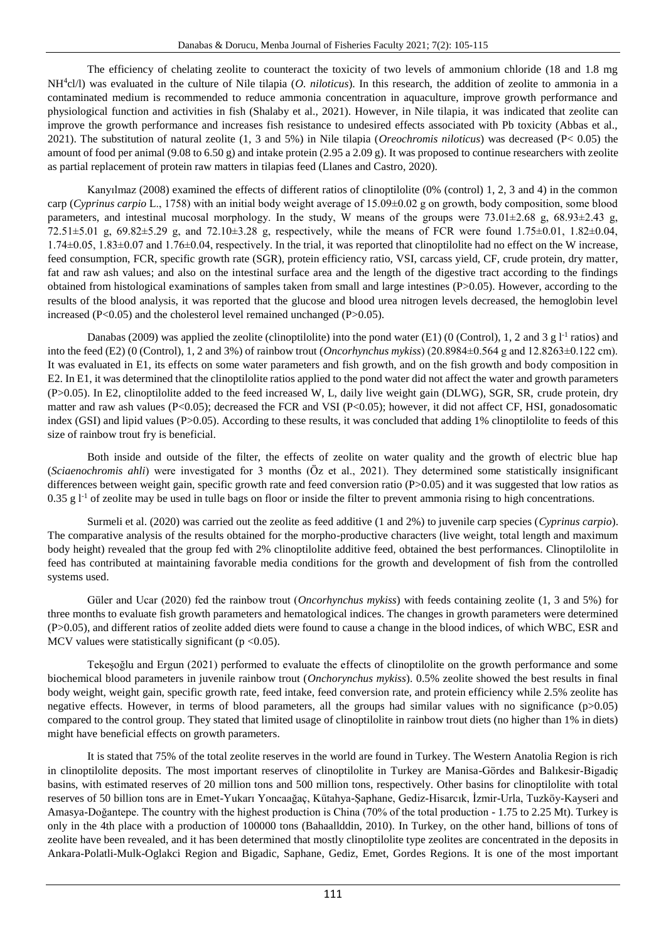The efficiency of chelating zeolite to counteract the toxicity of two levels of ammonium chloride (18 and 1.8 mg NH<sup>4</sup>cl/l) was evaluated in the culture of Nile tilapia (*O. niloticus*). In this research, the addition of zeolite to ammonia in a contaminated medium is recommended to reduce ammonia concentration in aquaculture, improve growth performance and physiological function and activities in fish (Shalaby et al., 2021). However, in Nile tilapia, it was indicated that zeolite can improve the growth performance and increases fish resistance to undesired effects associated with Pb toxicity (Abbas et al., 2021). The substitution of natural zeolite (1, 3 and 5%) in Nile tilapia (*Oreochromis niloticus*) was decreased (P< 0.05) the amount of food per animal (9.08 to 6.50 g) and intake protein (2.95 a 2.09 g). It was proposed to continue researchers with zeolite as partial replacement of protein raw matters in tilapias feed (Llanes and Castro, 2020).

Kanyılmaz (2008) examined the effects of different ratios of clinoptilolite (0% (control) 1, 2, 3 and 4) in the common carp (*Cyprinus carpio* L., 1758) with an initial body weight average of 15.09±0.02 g on growth, body composition, some blood parameters, and intestinal mucosal morphology. In the study, W means of the groups were 73.01±2.68 g, 68.93±2.43 g, 72.51 $\pm$ 5.01 g, 69.82 $\pm$ 5.29 g, and 72.10 $\pm$ 3.28 g, respectively, while the means of FCR were found 1.75 $\pm$ 0.01, 1.82 $\pm$ 0.04, 1.74±0.05, 1.83±0.07 and 1.76±0.04, respectively. In the trial, it was reported that clinoptilolite had no effect on the W increase, feed consumption, FCR, specific growth rate (SGR), protein efficiency ratio, VSI, carcass yield, CF, crude protein, dry matter, fat and raw ash values; and also on the intestinal surface area and the length of the digestive tract according to the findings obtained from histological examinations of samples taken from small and large intestines (P>0.05). However, according to the results of the blood analysis, it was reported that the glucose and blood urea nitrogen levels decreased, the hemoglobin level increased (P<0.05) and the cholesterol level remained unchanged (P>0.05).

Danabas (2009) was applied the zeolite (clinoptilolite) into the pond water (E1) (0 (Control), 1, 2 and 3 g  $l<sup>-1</sup>$  ratios) and into the feed (E2) (0 (Control), 1, 2 and 3%) of rainbow trout (*Oncorhynchus mykiss*) (20.8984±0.564 g and 12.8263±0.122 cm). It was evaluated in E1, its effects on some water parameters and fish growth, and on the fish growth and body composition in E2. In E1, it was determined that the clinoptilolite ratios applied to the pond water did not affect the water and growth parameters (P>0.05). In E2, clinoptilolite added to the feed increased W, L, daily live weight gain (DLWG), SGR, SR, crude protein, dry matter and raw ash values (P<0.05); decreased the FCR and VSI (P<0.05); however, it did not affect CF, HSI, gonadosomatic index (GSI) and lipid values (P>0.05). According to these results, it was concluded that adding 1% clinoptilolite to feeds of this size of rainbow trout fry is beneficial.

Both inside and outside of the filter, the effects of zeolite on water quality and the growth of electric blue hap (*Sciaenochromis ahli*) were investigated for 3 months (Öz et al., 2021). They determined some statistically insignificant differences between weight gain, specific growth rate and feed conversion ratio (P>0.05) and it was suggested that low ratios as 0.35 g  $1<sup>-1</sup>$  of zeolite may be used in tulle bags on floor or inside the filter to prevent ammonia rising to high concentrations.

Surmeli et al. (2020) was carried out the zeolite as feed additive (1 and 2%) to juvenile carp species (*Cyprinus carpio*). The comparative analysis of the results obtained for the morpho-productive characters (live weight, total length and maximum body height) revealed that the group fed with 2% clinoptilolite additive feed, obtained the best performances. Clinoptilolite in feed has contributed at maintaining favorable media conditions for the growth and development of fish from the controlled systems used.

Güler and Ucar (2020) fed the rainbow trout (*Oncorhynchus mykiss*) with feeds containing zeolite (1, 3 and 5%) for three months to evaluate fish growth parameters and hematological indices. The changes in growth parameters were determined (P>0.05), and different ratios of zeolite added diets were found to cause a change in the blood indices, of which WBC, ESR and MCV values were statistically significant ( $p < 0.05$ ).

Tekeşoğlu and Ergun (2021) performed to evaluate the effects of clinoptilolite on the growth performance and some biochemical blood parameters in juvenile rainbow trout (*Onchorynchus mykiss*). 0.5% zeolite showed the best results in final body weight, weight gain, specific growth rate, feed intake, feed conversion rate, and protein efficiency while 2.5% zeolite has negative effects. However, in terms of blood parameters, all the groups had similar values with no significance  $(p>0.05)$ compared to the control group. They stated that limited usage of clinoptilolite in rainbow trout diets (no higher than 1% in diets) might have beneficial effects on growth parameters.

It is stated that 75% of the total zeolite reserves in the world are found in Turkey. The Western Anatolia Region is rich in clinoptilolite deposits. The most important reserves of clinoptilolite in Turkey are Manisa-Gördes and Balıkesir-Bigadiç basins, with estimated reserves of 20 million tons and 500 million tons, respectively. Other basins for clinoptilolite with total reserves of 50 billion tons are in Emet-Yukarı Yoncaağaç, Kütahya-Şaphane, Gediz-Hisarcık, İzmir-Urla, Tuzköy-Kayseri and Amasya-Doğantepe. The country with the highest production is China (70% of the total production - 1.75 to 2.25 Mt). Turkey is only in the 4th place with a production of 100000 tons (Bahaallddin, 2010). In Turkey, on the other hand, billions of tons of zeolite have been revealed, and it has been determined that mostly clinoptilolite type zeolites are concentrated in the deposits in Ankara-Polatli-Mulk-Oglakci Region and Bigadic, Saphane, Gediz, Emet, Gordes Regions. It is one of the most important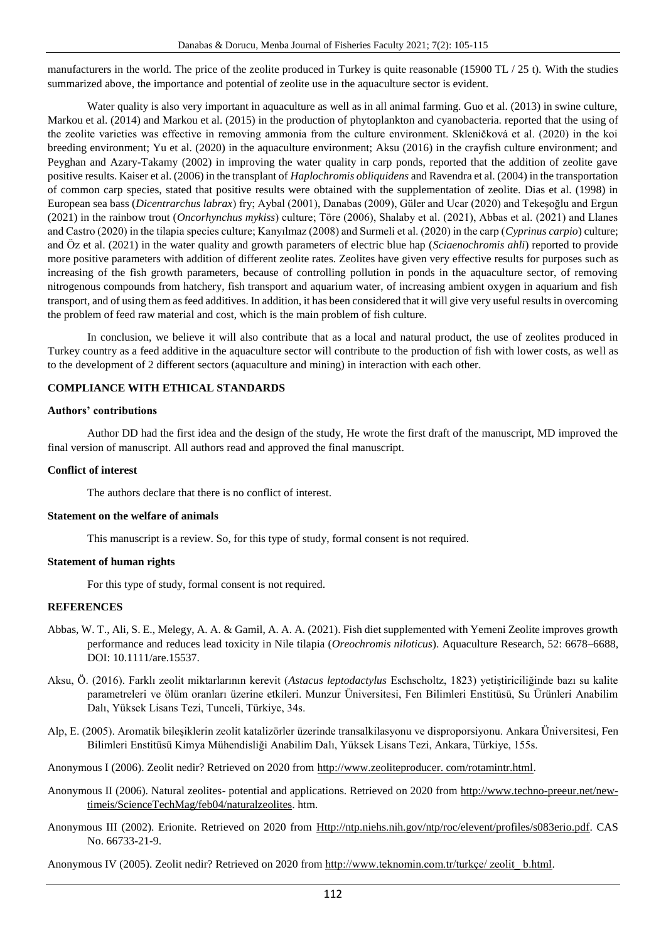manufacturers in the world. The price of the zeolite produced in Turkey is quite reasonable (15900 TL / 25 t). With the studies summarized above, the importance and potential of zeolite use in the aquaculture sector is evident.

Water quality is also very important in aquaculture as well as in all animal farming. Guo et al. (2013) in swine culture, Markou et al. (2014) and Markou et al. (2015) in the production of phytoplankton and cyanobacteria. reported that the using of the zeolite varieties was effective in removing ammonia from the culture environment. Skleničková et al. (2020) in the koi breeding environment; Yu et al. (2020) in the aquaculture environment; Aksu (2016) in the crayfish culture environment; and Peyghan and Azary-Takamy (2002) in improving the water quality in carp ponds, reported that the addition of zeolite gave positive results. Kaiser et al. (2006) in the transplant of *Haplochromis obliquidens* and Ravendra et al. (2004) in the transportation of common carp species, stated that positive results were obtained with the supplementation of zeolite. Dias et al. (1998) in European sea bass (*Dicentrarchus labrax*) fry; Aybal (2001), Danabas (2009), Güler and Ucar (2020) and Tekeşoğlu and Ergun (2021) in the rainbow trout (*Oncorhynchus mykiss*) culture; Töre (2006), Shalaby et al. (2021), Abbas et al. (2021) and Llanes and Castro (2020) in the tilapia species culture; Kanyılmaz (2008) and Surmeli et al. (2020) in the carp (*Cyprinus carpio*) culture; and Öz et al. (2021) in the water quality and growth parameters of electric blue hap (*Sciaenochromis ahli*) reported to provide more positive parameters with addition of different zeolite rates. Zeolites have given very effective results for purposes such as increasing of the fish growth parameters, because of controlling pollution in ponds in the aquaculture sector, of removing nitrogenous compounds from hatchery, fish transport and aquarium water, of increasing ambient oxygen in aquarium and fish transport, and of using them as feed additives. In addition, it has been considered that it will give very useful results in overcoming the problem of feed raw material and cost, which is the main problem of fish culture.

In conclusion, we believe it will also contribute that as a local and natural product, the use of zeolites produced in Turkey country as a feed additive in the aquaculture sector will contribute to the production of fish with lower costs, as well as to the development of 2 different sectors (aquaculture and mining) in interaction with each other.

## **COMPLIANCE WITH ETHICAL STANDARDS**

#### **Authors' contributions**

Author DD had the first idea and the design of the study, He wrote the first draft of the manuscript, MD improved the final version of manuscript. All authors read and approved the final manuscript.

#### **Conflict of interest**

The authors declare that there is no conflict of interest.

## **Statement on the welfare of animals**

This manuscript is a review. So, for this type of study, formal consent is not required.

## **Statement of human rights**

For this type of study, formal consent is not required.

## **REFERENCES**

- Abbas, W. T., Ali, S. E., Melegy, A. A. & Gamil, A. A. A. (2021). Fish diet supplemented with Yemeni Zeolite improves growth performance and reduces lead toxicity in Nile tilapia (*Oreochromis niloticus*). Aquaculture Research, 52: 6678–6688, DOI: 10.1111/are.15537.
- Aksu, Ö. (2016). Farklı zeolit miktarlarının kerevit (*Astacus leptodactylus* Eschscholtz, 1823) yetiştiriciliğinde bazı su kalite parametreleri ve ölüm oranları üzerine etkileri. Munzur Üniversitesi, Fen Bilimleri Enstitüsü, Su Ürünleri Anabilim Dalı, Yüksek Lisans Tezi, Tunceli, Türkiye, 34s.
- Alp, E. (2005). Aromatik bileşiklerin zeolit katalizörler üzerinde transalkilasyonu ve disproporsiyonu. Ankara Üniversitesi, Fen Bilimleri Enstitüsü Kimya Mühendisliği Anabilim Dalı, Yüksek Lisans Tezi, Ankara, Türkiye, 155s.
- Anonymous I (2006). Zeolit nedir? Retrieved on 2020 from http://www.zeoliteproducer. com/rotamintr.html.
- Anonymous II (2006). Natural zeolites- potential and applications. Retrieved on 2020 from [http://www.techno-preeur.net/new](http://www.techno-preeur.net/new-timeis/ScienceTechMag/feb04/naturalzeolites)[timeis/ScienceTechMag/feb04/naturalzeolites.](http://www.techno-preeur.net/new-timeis/ScienceTechMag/feb04/naturalzeolites) htm.
- Anonymous III (2002). Erionite. Retrieved on 2020 from [Http://ntp.niehs.nih.gov/ntp/roc/elevent/profiles/s083erio.pdf.](http://ntp.niehs.nih.gov/ntp/roc/elevent/profiles/s083erio.pdf) CAS No. 66733-21-9.

Anonymous IV (2005). Zeolit nedir? Retrieved on 2020 from [http://www.teknomin.com.tr/turkçe/ zeolit\\_ b.html.](http://www.teknomin.com.tr/turkçe/%20zeolit_%20b.html)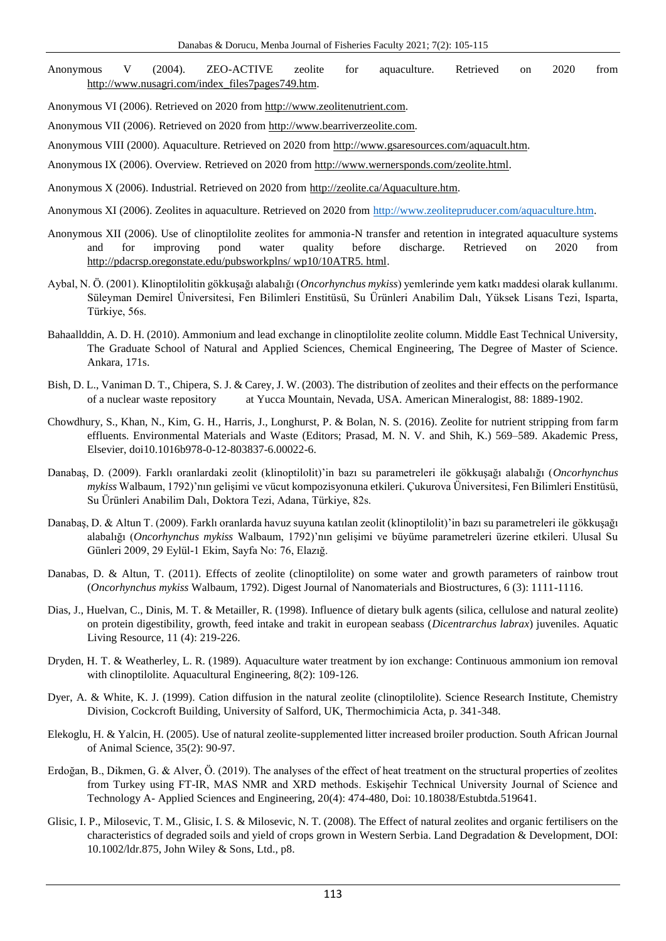Anonymous V (2004). ZEO-ACTIVE zeolite for aquaculture. Retrieved on 2020 from [http://www.nusagri.com/index\\_files7pages749.htm.](http://www.nusagri.com/index_files7pages749.htm)

Anonymous VI (2006). Retrieved on 2020 from [http://www.zeolitenutrient.com.](http://www.zeolitenutrient.com/)

Anonymous VII (2006). Retrieved on 2020 from [http://www.bearriverzeolite.com.](http://www.bearriverzeolite.com/)

Anonymous VIII (2000). Aquaculture. Retrieved on 2020 from [http://www.gsaresources.com/aquacult.htm.](http://www.gsaresources.com/aquacult.htm)

Anonymous IX (2006). Overview. Retrieved on 2020 from [http://www.wernersponds.com/zeolite.html.](http://www.wernersponds.com/zeolite.html)

Anonymous X (2006). Industrial. Retrieved on 2020 from [http://zeolite.ca/Aquaculture.htm.](http://zeolite.ca/Aquaculture.htm)

Anonymous XI (2006). Zeolites in aquaculture. Retrieved on 2020 from [http://www.zeolitepruducer.com/aquaculture.htm.](http://www.zeolitepruducer.com/aquaculture.htm)

- Anonymous XII (2006). Use of clinoptilolite zeolites for ammonia-N transfer and retention in integrated aquaculture systems and for improving pond water quality before discharge. Retrieved on 2020 from [http://pdacrsp.oregonstate.edu/pubsworkplns/ wp10/10ATR5. html.](http://pdacrsp.oregonstate.edu/pubsworkplns/%20wp10/10ATR5.%20html)
- Aybal, N. Ö. (2001). Klinoptilolitin gökkuşağı alabalığı (*Oncorhynchus mykiss*) yemlerinde yem katkı maddesi olarak kullanımı. Süleyman Demirel Üniversitesi, Fen Bilimleri Enstitüsü, Su Ürünleri Anabilim Dalı, Yüksek Lisans Tezi, Isparta, Türkiye, 56s.
- Bahaallddin, A. D. H. (2010). Ammonium and lead exchange in clinoptilolite zeolite column. Middle East Technical University, The Graduate School of Natural and Applied Sciences, Chemical Engineering, The Degree of Master of Science. Ankara, 171s.
- Bish, D. L., Vaniman D. T., Chipera, S. J. & Carey, J. W. (2003). The distribution of zeolites and their effects on the performance of a nuclear waste repository at Yucca Mountain, Nevada, USA. American Mineralogist, 88: 1889-1902.
- Chowdhury, S., Khan, N., Kim, G. H., Harris, J., Longhurst, P. & Bolan, N. S. (2016). Zeolite for nutrient stripping from farm effluents. Environmental Materials and Waste (Editors; Prasad, M. N. V. and Shih, K.) 569–589. Akademic Press, Elsevier, doi10.1016b978-0-12-803837-6.00022-6.
- Danabaş, D. (2009). Farklı oranlardaki zeolit (klinoptilolit)'in bazı su parametreleri ile gökkuşağı alabalığı (*Oncorhynchus mykiss* Walbaum, 1792)'nın gelişimi ve vücut kompozisyonuna etkileri. Çukurova Üniversitesi, Fen Bilimleri Enstitüsü, Su Ürünleri Anabilim Dalı, Doktora Tezi, Adana, Türkiye, 82s.
- Danabaş, D. & Altun T. (2009). Farklı oranlarda havuz suyuna katılan zeolit (klinoptilolit)'in bazı su parametreleri ile gökkuşağı alabalığı (*Oncorhynchus mykiss* Walbaum, 1792)'nın gelişimi ve büyüme parametreleri üzerine etkileri. Ulusal Su Günleri 2009, 29 Eylül-1 Ekim, Sayfa No: 76, Elazığ.
- Danabas, D. & Altun, T. (2011). Effects of zeolite (clinoptilolite) on some water and growth parameters of rainbow trout (*Oncorhynchus mykiss* Walbaum, 1792). Digest Journal of Nanomaterials and Biostructures, 6 (3): 1111-1116.
- Dias, J., Huelvan, C., Dinis, M. T. & Metailler, R. (1998). Influence of dietary bulk agents (silica, cellulose and natural zeolite) on protein digestibility, growth, feed intake and trakit in european seabass (*Dicentrarchus labrax*) juveniles. Aquatic Living Resource, 11 (4): 219-226.
- Dryden, H. T. & Weatherley, L. R. (1989). Aquaculture water treatment by ion exchange: Continuous ammonium ion removal with clinoptilolite. Aquacultural Engineering, 8(2): 109-126.
- Dyer, A. & White, K. J. (1999). Cation diffusion in the natural zeolite (clinoptilolite). Science Research Institute, Chemistry Division, Cockcroft Building, University of Salford, UK, Thermochimicia Acta, p. 341-348.
- Elekoglu, H. & Yalcin, H. (2005). Use of natural zeolite-supplemented litter increased broiler production. South African Journal of Animal Science, 35(2): 90-97.
- Erdoğan, B., Dikmen, G. & Alver, Ö. (2019). The analyses of the effect of heat treatment on the structural properties of zeolites from Turkey using FT-IR, MAS NMR and XRD methods. Eskişehir Technical University Journal of Science and Technology A- Applied Sciences and Engineering, 20(4): 474-480, Doi: 10.18038/Estubtda.519641.
- Glisic, I. P., Milosevic, T. M., Glisic, I. S. & Milosevic, N. T. (2008). The Effect of natural zeolites and organic fertilisers on the characteristics of degraded soils and yield of crops grown in Western Serbia. Land Degradation & Development, DOI: 10.1002/ldr.875, John Wiley & Sons, Ltd., p8.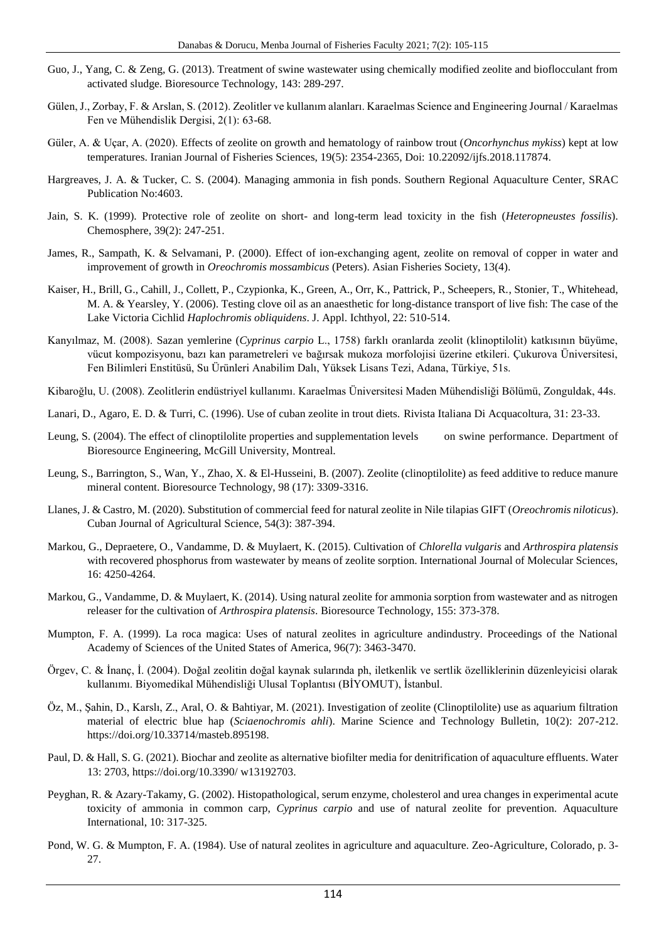- Guo, J., Yang, C. & Zeng, G. (2013). Treatment of swine wastewater using chemically modified zeolite and bioflocculant from activated sludge. Bioresource Technology, 143: 289-297.
- Gülen, J., Zorbay, F. & Arslan, S. (2012). Zeolitler ve kullanım alanları. Karaelmas Science and Engineering Journal / Karaelmas Fen ve Mühendislik Dergisi, 2(1): 63-68.
- Güler, A. & Uçar, A. (2020). Effects of zeolite on growth and hematology of rainbow trout (*Oncorhynchus mykiss*) kept at low temperatures. Iranian Journal of Fisheries Sciences, 19(5): 2354-2365, Doi: 10.22092/ijfs.2018.117874.
- Hargreaves, J. A. & Tucker, C. S. (2004). Managing ammonia in fish ponds. Southern Regional Aquaculture Center, SRAC Publication No:4603.
- Jain, S. K. (1999). Protective role of zeolite on short- and long-term lead toxicity in the fish (*Heteropneustes fossilis*). Chemosphere, 39(2): 247-251.
- James, R., Sampath, K. & Selvamani, P. (2000). Effect of ion-exchanging agent, zeolite on removal of copper in water and improvement of growth in *Oreochromis mossambicus* (Peters). Asian Fisheries Society, 13(4).
- Kaiser, H., Brill, G., Cahill, J., Collett, P., Czypionka, K., Green, A., Orr, K., Pattrick, P., Scheepers, R., Stonier, T., Whitehead, M. A. & Yearsley, Y. (2006). Testing clove oil as an anaesthetic for long-distance transport of live fish: The case of the Lake Victoria Cichlid *Haplochromis obliquidens*. J. Appl. Ichthyol, 22: 510-514.
- Kanyılmaz, M. (2008). Sazan yemlerine (*Cyprinus carpio* L., 1758) farklı oranlarda zeolit (klinoptilolit) katkısının büyüme, vücut kompozisyonu, bazı kan parametreleri ve bağırsak mukoza morfolojisi üzerine etkileri. Çukurova Üniversitesi, Fen Bilimleri Enstitüsü, Su Ürünleri Anabilim Dalı, Yüksek Lisans Tezi, Adana, Türkiye, 51s.
- Kibaroğlu, U. (2008). Zeolitlerin endüstriyel kullanımı. Karaelmas Üniversitesi Maden Mühendisliği Bölümü, Zonguldak, 44s.
- Lanari, D., Agaro, E. D. & Turri, C. (1996). Use of cuban zeolite in trout diets. Rivista Italiana Di Acquacoltura, 31: 23-33.
- Leung, S. (2004). The effect of clinoptilolite properties and supplementation levels on swine performance. Department of Bioresource Engineering, McGill University, Montreal.
- Leung, S., Barrington, S., Wan, Y., Zhao, X. & El-Husseini, B. (2007). Zeolite (clinoptilolite) as feed additive to reduce manure mineral content. Bioresource Technology, 98 (17): 3309-3316.
- Llanes, J. & Castro, M. (2020). Substitution of commercial feed for natural zeolite in Nile tilapias GIFT (*Oreochromis niloticus*). Cuban Journal of Agricultural Science, 54(3): 387-394.
- Markou, G., Depraetere, O., Vandamme, D. & Muylaert, K. (2015). Cultivation of *Chlorella vulgaris* and *Arthrospira platensis* with recovered phosphorus from wastewater by means of zeolite sorption. International Journal of Molecular Sciences, 16: 4250-4264.
- Markou, G., Vandamme, D. & Muylaert, K. (2014). Using natural zeolite for ammonia sorption from wastewater and as nitrogen releaser for the cultivation of *Arthrospira platensis*. Bioresource Technology, 155: 373-378.
- Mumpton, F. A. (1999). La roca magica: Uses of natural zeolites in agriculture andindustry. Proceedings of the National Academy of Sciences of the United States of America, 96(7): 3463-3470.
- Örgev, C. & İnanç, İ. (2004). Doğal zeolitin doğal kaynak sularında ph, iletkenlik ve sertlik özelliklerinin düzenleyicisi olarak kullanımı. Biyomedikal Mühendisliği Ulusal Toplantısı (BİYOMUT), İstanbul.
- Öz, M., Şahin, D., Karslı, Z., Aral, O. & Bahtiyar, M. (2021). Investigation of zeolite (Clinoptilolite) use as aquarium filtration material of electric blue hap (*Sciaenochromis ahli*). Marine Science and Technology Bulletin, 10(2): 207-212. https://doi.org/10.33714/masteb.895198.
- Paul, D. & Hall, S. G. (2021). Biochar and zeolite as alternative biofilter media for denitrification of aquaculture effluents. Water 13: 2703, https://doi.org/10.3390/ w13192703.
- Peyghan, R. & Azary-Takamy, G. (2002). Histopathological, serum enzyme, cholesterol and urea changes in experimental acute toxicity of ammonia in common carp, *Cyprinus carpio* and use of natural zeolite for prevention. Aquaculture International, 10: 317-325.
- Pond, W. G. & Mumpton, F. A. (1984). Use of natural zeolites in agriculture and aquaculture. Zeo-Agriculture, Colorado, p. 3- 27.